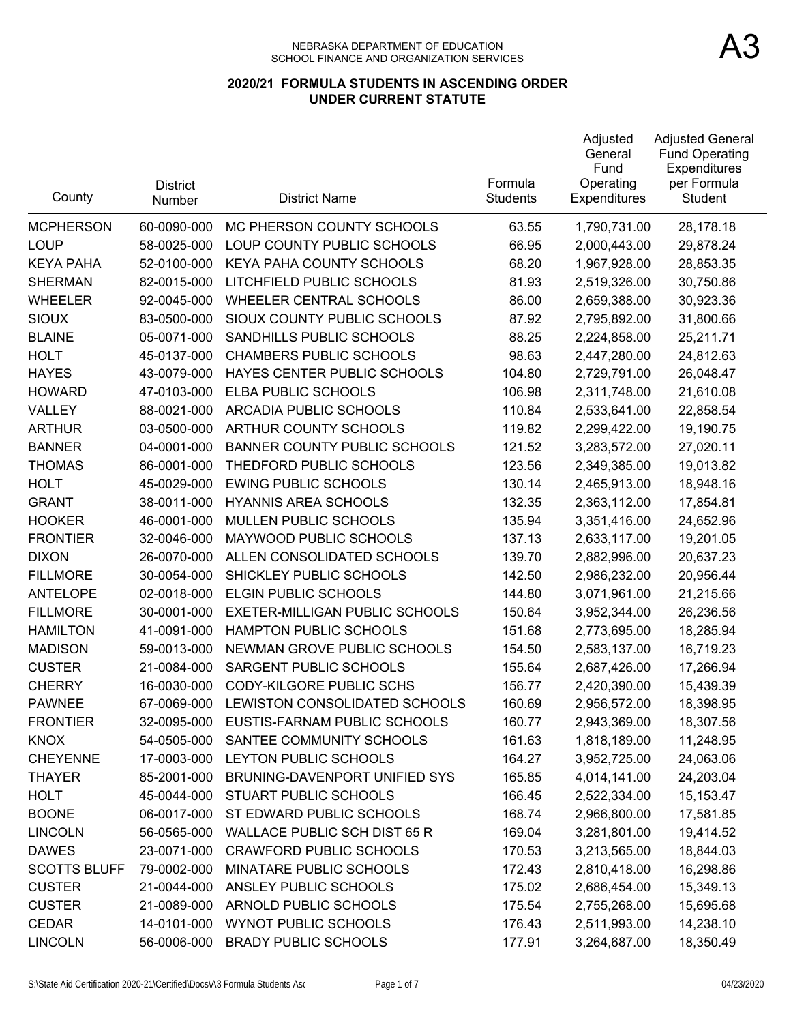| County              | <b>District</b><br>Number | <b>District Name</b>                | Formula<br><b>Students</b> | Adjusted<br>General<br>Fund<br>Operating<br><b>Expenditures</b> | <b>Adjusted General</b><br><b>Fund Operating</b><br>Expenditures<br>per Formula<br>Student |
|---------------------|---------------------------|-------------------------------------|----------------------------|-----------------------------------------------------------------|--------------------------------------------------------------------------------------------|
| <b>MCPHERSON</b>    | 60-0090-000               | MC PHERSON COUNTY SCHOOLS           | 63.55                      | 1,790,731.00                                                    | 28,178.18                                                                                  |
| <b>LOUP</b>         | 58-0025-000               | LOUP COUNTY PUBLIC SCHOOLS          | 66.95                      | 2,000,443.00                                                    | 29,878.24                                                                                  |
| <b>KEYA PAHA</b>    | 52-0100-000               | KEYA PAHA COUNTY SCHOOLS            | 68.20                      | 1,967,928.00                                                    | 28,853.35                                                                                  |
| <b>SHERMAN</b>      | 82-0015-000               | LITCHFIELD PUBLIC SCHOOLS           | 81.93                      | 2,519,326.00                                                    | 30,750.86                                                                                  |
| <b>WHEELER</b>      | 92-0045-000               | <b>WHEELER CENTRAL SCHOOLS</b>      | 86.00                      | 2,659,388.00                                                    | 30,923.36                                                                                  |
| <b>SIOUX</b>        | 83-0500-000               | SIOUX COUNTY PUBLIC SCHOOLS         | 87.92                      | 2,795,892.00                                                    | 31,800.66                                                                                  |
| <b>BLAINE</b>       | 05-0071-000               | SANDHILLS PUBLIC SCHOOLS            | 88.25                      | 2,224,858.00                                                    | 25,211.71                                                                                  |
| <b>HOLT</b>         | 45-0137-000               | <b>CHAMBERS PUBLIC SCHOOLS</b>      | 98.63                      | 2,447,280.00                                                    | 24,812.63                                                                                  |
| <b>HAYES</b>        | 43-0079-000               | HAYES CENTER PUBLIC SCHOOLS         | 104.80                     | 2,729,791.00                                                    | 26,048.47                                                                                  |
| <b>HOWARD</b>       | 47-0103-000               | ELBA PUBLIC SCHOOLS                 | 106.98                     | 2,311,748.00                                                    | 21,610.08                                                                                  |
| VALLEY              | 88-0021-000               | ARCADIA PUBLIC SCHOOLS              | 110.84                     | 2,533,641.00                                                    | 22,858.54                                                                                  |
| <b>ARTHUR</b>       | 03-0500-000               | ARTHUR COUNTY SCHOOLS               | 119.82                     | 2,299,422.00                                                    | 19,190.75                                                                                  |
| <b>BANNER</b>       | 04-0001-000               | <b>BANNER COUNTY PUBLIC SCHOOLS</b> | 121.52                     | 3,283,572.00                                                    | 27,020.11                                                                                  |
| <b>THOMAS</b>       | 86-0001-000               | THEDFORD PUBLIC SCHOOLS             | 123.56                     | 2,349,385.00                                                    | 19,013.82                                                                                  |
| <b>HOLT</b>         | 45-0029-000               | <b>EWING PUBLIC SCHOOLS</b>         | 130.14                     | 2,465,913.00                                                    | 18,948.16                                                                                  |
| <b>GRANT</b>        | 38-0011-000               | <b>HYANNIS AREA SCHOOLS</b>         | 132.35                     | 2,363,112.00                                                    | 17,854.81                                                                                  |
| <b>HOOKER</b>       | 46-0001-000               | MULLEN PUBLIC SCHOOLS               | 135.94                     | 3,351,416.00                                                    | 24,652.96                                                                                  |
| <b>FRONTIER</b>     | 32-0046-000               | MAYWOOD PUBLIC SCHOOLS              | 137.13                     | 2,633,117.00                                                    | 19,201.05                                                                                  |
| <b>DIXON</b>        | 26-0070-000               | ALLEN CONSOLIDATED SCHOOLS          | 139.70                     | 2,882,996.00                                                    | 20,637.23                                                                                  |
| <b>FILLMORE</b>     | 30-0054-000               | SHICKLEY PUBLIC SCHOOLS             | 142.50                     | 2,986,232.00                                                    | 20,956.44                                                                                  |
| <b>ANTELOPE</b>     | 02-0018-000               | ELGIN PUBLIC SCHOOLS                | 144.80                     | 3,071,961.00                                                    | 21,215.66                                                                                  |
| <b>FILLMORE</b>     | 30-0001-000               | EXETER-MILLIGAN PUBLIC SCHOOLS      | 150.64                     | 3,952,344.00                                                    | 26,236.56                                                                                  |
| <b>HAMILTON</b>     | 41-0091-000               | HAMPTON PUBLIC SCHOOLS              | 151.68                     | 2,773,695.00                                                    | 18,285.94                                                                                  |
| <b>MADISON</b>      | 59-0013-000               | NEWMAN GROVE PUBLIC SCHOOLS         | 154.50                     | 2,583,137.00                                                    | 16,719.23                                                                                  |
| <b>CUSTER</b>       | 21-0084-000               | SARGENT PUBLIC SCHOOLS              | 155.64                     | 2,687,426.00                                                    | 17,266.94                                                                                  |
| <b>CHERRY</b>       | 16-0030-000               | <b>CODY-KILGORE PUBLIC SCHS</b>     | 156.77                     | 2,420,390.00                                                    | 15,439.39                                                                                  |
| <b>PAWNEE</b>       | 67-0069-000               | LEWISTON CONSOLIDATED SCHOOLS       | 160.69                     | 2,956,572.00                                                    | 18,398.95                                                                                  |
| <b>FRONTIER</b>     | 32-0095-000               | EUSTIS-FARNAM PUBLIC SCHOOLS        | 160.77                     | 2,943,369.00                                                    | 18,307.56                                                                                  |
| <b>KNOX</b>         | 54-0505-000               | SANTEE COMMUNITY SCHOOLS            | 161.63                     | 1,818,189.00                                                    | 11,248.95                                                                                  |
| <b>CHEYENNE</b>     | 17-0003-000               | LEYTON PUBLIC SCHOOLS               | 164.27                     | 3,952,725.00                                                    | 24,063.06                                                                                  |
| <b>THAYER</b>       | 85-2001-000               | BRUNING-DAVENPORT UNIFIED SYS       | 165.85                     | 4,014,141.00                                                    | 24,203.04                                                                                  |
| <b>HOLT</b>         | 45-0044-000               | STUART PUBLIC SCHOOLS               | 166.45                     | 2,522,334.00                                                    | 15,153.47                                                                                  |
| <b>BOONE</b>        | 06-0017-000               | ST EDWARD PUBLIC SCHOOLS            | 168.74                     | 2,966,800.00                                                    | 17,581.85                                                                                  |
| <b>LINCOLN</b>      | 56-0565-000               | <b>WALLACE PUBLIC SCH DIST 65 R</b> | 169.04                     | 3,281,801.00                                                    | 19,414.52                                                                                  |
| <b>DAWES</b>        | 23-0071-000               | <b>CRAWFORD PUBLIC SCHOOLS</b>      | 170.53                     | 3,213,565.00                                                    | 18,844.03                                                                                  |
| <b>SCOTTS BLUFF</b> | 79-0002-000               | MINATARE PUBLIC SCHOOLS             | 172.43                     | 2,810,418.00                                                    | 16,298.86                                                                                  |
| <b>CUSTER</b>       | 21-0044-000               | ANSLEY PUBLIC SCHOOLS               | 175.02                     | 2,686,454.00                                                    | 15,349.13                                                                                  |
| <b>CUSTER</b>       | 21-0089-000               | ARNOLD PUBLIC SCHOOLS               | 175.54                     | 2,755,268.00                                                    | 15,695.68                                                                                  |
| <b>CEDAR</b>        | 14-0101-000               | <b>WYNOT PUBLIC SCHOOLS</b>         | 176.43                     | 2,511,993.00                                                    | 14,238.10                                                                                  |
| <b>LINCOLN</b>      | 56-0006-000               | <b>BRADY PUBLIC SCHOOLS</b>         | 177.91                     | 3,264,687.00                                                    | 18,350.49                                                                                  |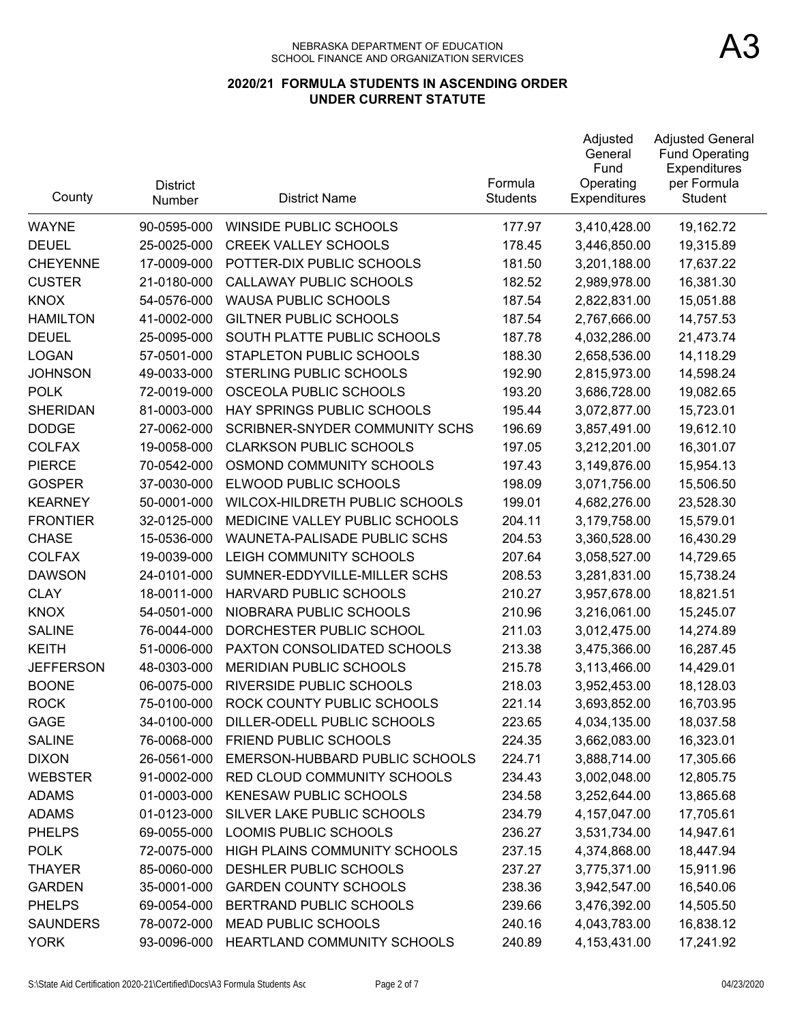| County           | <b>District</b><br>Number | <b>District Name</b>           | Formula<br><b>Students</b> | Adjusted<br>General<br>Fund<br>Operating<br><b>Expenditures</b> | <b>Adjusted General</b><br><b>Fund Operating</b><br>Expenditures<br>per Formula<br>Student |
|------------------|---------------------------|--------------------------------|----------------------------|-----------------------------------------------------------------|--------------------------------------------------------------------------------------------|
| <b>WAYNE</b>     | 90-0595-000               | <b>WINSIDE PUBLIC SCHOOLS</b>  | 177.97                     | 3,410,428.00                                                    | 19,162.72                                                                                  |
| <b>DEUEL</b>     | 25-0025-000               | <b>CREEK VALLEY SCHOOLS</b>    | 178.45                     | 3,446,850.00                                                    | 19,315.89                                                                                  |
| <b>CHEYENNE</b>  | 17-0009-000               | POTTER-DIX PUBLIC SCHOOLS      | 181.50                     | 3,201,188.00                                                    | 17,637.22                                                                                  |
| <b>CUSTER</b>    | 21-0180-000               | <b>CALLAWAY PUBLIC SCHOOLS</b> | 182.52                     | 2,989,978.00                                                    | 16,381.30                                                                                  |
| <b>KNOX</b>      | 54-0576-000               | <b>WAUSA PUBLIC SCHOOLS</b>    | 187.54                     | 2,822,831.00                                                    | 15,051.88                                                                                  |
| <b>HAMILTON</b>  | 41-0002-000               | <b>GILTNER PUBLIC SCHOOLS</b>  | 187.54                     | 2,767,666.00                                                    | 14,757.53                                                                                  |
| <b>DEUEL</b>     | 25-0095-000               | SOUTH PLATTE PUBLIC SCHOOLS    | 187.78                     | 4,032,286.00                                                    | 21,473.74                                                                                  |
| <b>LOGAN</b>     | 57-0501-000               | STAPLETON PUBLIC SCHOOLS       | 188.30                     | 2,658,536.00                                                    | 14,118.29                                                                                  |
| <b>JOHNSON</b>   | 49-0033-000               | STERLING PUBLIC SCHOOLS        | 192.90                     | 2,815,973.00                                                    | 14,598.24                                                                                  |
| <b>POLK</b>      | 72-0019-000               | OSCEOLA PUBLIC SCHOOLS         | 193.20                     | 3,686,728.00                                                    | 19,082.65                                                                                  |
| <b>SHERIDAN</b>  | 81-0003-000               | HAY SPRINGS PUBLIC SCHOOLS     | 195.44                     | 3,072,877.00                                                    | 15,723.01                                                                                  |
| <b>DODGE</b>     | 27-0062-000               | SCRIBNER-SNYDER COMMUNITY SCHS | 196.69                     | 3,857,491.00                                                    | 19,612.10                                                                                  |
| <b>COLFAX</b>    | 19-0058-000               | <b>CLARKSON PUBLIC SCHOOLS</b> | 197.05                     | 3,212,201.00                                                    | 16,301.07                                                                                  |
| <b>PIERCE</b>    | 70-0542-000               | OSMOND COMMUNITY SCHOOLS       | 197.43                     | 3,149,876.00                                                    | 15,954.13                                                                                  |
| <b>GOSPER</b>    | 37-0030-000               | ELWOOD PUBLIC SCHOOLS          | 198.09                     | 3,071,756.00                                                    | 15,506.50                                                                                  |
| <b>KEARNEY</b>   | 50-0001-000               | WILCOX-HILDRETH PUBLIC SCHOOLS | 199.01                     | 4,682,276.00                                                    | 23,528.30                                                                                  |
| <b>FRONTIER</b>  | 32-0125-000               | MEDICINE VALLEY PUBLIC SCHOOLS | 204.11                     | 3,179,758.00                                                    | 15,579.01                                                                                  |
| <b>CHASE</b>     | 15-0536-000               | WAUNETA-PALISADE PUBLIC SCHS   | 204.53                     | 3,360,528.00                                                    | 16,430.29                                                                                  |
| <b>COLFAX</b>    | 19-0039-000               | LEIGH COMMUNITY SCHOOLS        | 207.64                     | 3,058,527.00                                                    | 14,729.65                                                                                  |
| <b>DAWSON</b>    | 24-0101-000               | SUMNER-EDDYVILLE-MILLER SCHS   | 208.53                     | 3,281,831.00                                                    | 15,738.24                                                                                  |
| <b>CLAY</b>      | 18-0011-000               | HARVARD PUBLIC SCHOOLS         | 210.27                     | 3,957,678.00                                                    | 18,821.51                                                                                  |
| <b>KNOX</b>      | 54-0501-000               | NIOBRARA PUBLIC SCHOOLS        | 210.96                     | 3,216,061.00                                                    | 15,245.07                                                                                  |
| <b>SALINE</b>    | 76-0044-000               | DORCHESTER PUBLIC SCHOOL       | 211.03                     | 3,012,475.00                                                    | 14,274.89                                                                                  |
| <b>KEITH</b>     | 51-0006-000               | PAXTON CONSOLIDATED SCHOOLS    | 213.38                     | 3,475,366.00                                                    | 16,287.45                                                                                  |
| <b>JEFFERSON</b> | 48-0303-000               | <b>MERIDIAN PUBLIC SCHOOLS</b> | 215.78                     | 3,113,466.00                                                    | 14,429.01                                                                                  |
| <b>BOONE</b>     | 06-0075-000               | RIVERSIDE PUBLIC SCHOOLS       | 218.03                     | 3,952,453.00                                                    | 18,128.03                                                                                  |
| <b>ROCK</b>      | 75-0100-000               | ROCK COUNTY PUBLIC SCHOOLS     | 221.14                     | 3,693,852.00                                                    | 16,703.95                                                                                  |
| GAGE             | 34-0100-000               | DILLER-ODELL PUBLIC SCHOOLS    | 223.65                     | 4,034,135.00                                                    | 18,037.58                                                                                  |
| <b>SALINE</b>    | 76-0068-000               | FRIEND PUBLIC SCHOOLS          | 224.35                     | 3,662,083.00                                                    | 16,323.01                                                                                  |
| <b>DIXON</b>     | 26-0561-000               | EMERSON-HUBBARD PUBLIC SCHOOLS | 224.71                     | 3,888,714.00                                                    | 17,305.66                                                                                  |
| <b>WEBSTER</b>   | 91-0002-000               | RED CLOUD COMMUNITY SCHOOLS    | 234.43                     | 3,002,048.00                                                    | 12,805.75                                                                                  |
| <b>ADAMS</b>     | 01-0003-000               | <b>KENESAW PUBLIC SCHOOLS</b>  | 234.58                     | 3,252,644.00                                                    | 13,865.68                                                                                  |
| <b>ADAMS</b>     | 01-0123-000               | SILVER LAKE PUBLIC SCHOOLS     | 234.79                     | 4, 157, 047.00                                                  | 17,705.61                                                                                  |
| <b>PHELPS</b>    | 69-0055-000               | LOOMIS PUBLIC SCHOOLS          | 236.27                     | 3,531,734.00                                                    | 14,947.61                                                                                  |
| <b>POLK</b>      | 72-0075-000               | HIGH PLAINS COMMUNITY SCHOOLS  | 237.15                     | 4,374,868.00                                                    | 18,447.94                                                                                  |
| <b>THAYER</b>    | 85-0060-000               | DESHLER PUBLIC SCHOOLS         | 237.27                     | 3,775,371.00                                                    | 15,911.96                                                                                  |
| <b>GARDEN</b>    | 35-0001-000               | <b>GARDEN COUNTY SCHOOLS</b>   | 238.36                     | 3,942,547.00                                                    | 16,540.06                                                                                  |
| <b>PHELPS</b>    | 69-0054-000               | BERTRAND PUBLIC SCHOOLS        | 239.66                     | 3,476,392.00                                                    | 14,505.50                                                                                  |
| <b>SAUNDERS</b>  | 78-0072-000               | <b>MEAD PUBLIC SCHOOLS</b>     | 240.16                     | 4,043,783.00                                                    | 16,838.12                                                                                  |
| <b>YORK</b>      | 93-0096-000               | HEARTLAND COMMUNITY SCHOOLS    | 240.89                     | 4,153,431.00                                                    | 17,241.92                                                                                  |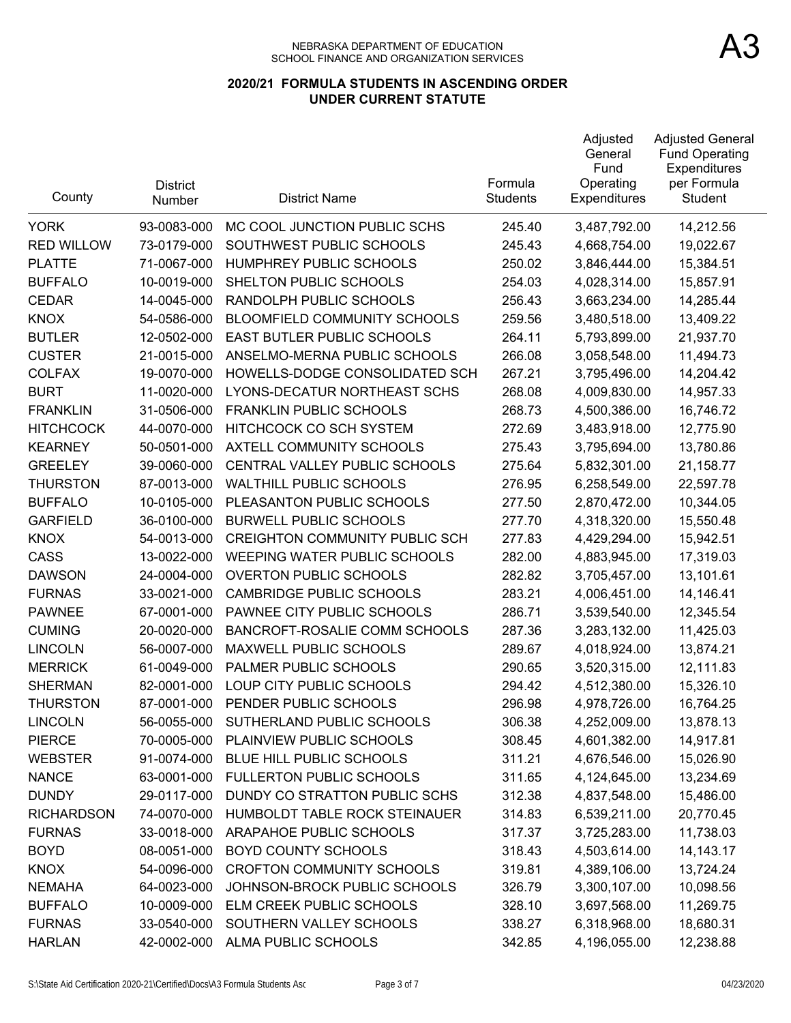| County            | <b>District</b><br>Number | <b>District Name</b>                  | Formula<br><b>Students</b> | Adjusted<br>General<br>Fund<br>Operating<br>Expenditures | <b>Adjusted General</b><br><b>Fund Operating</b><br>Expenditures<br>per Formula<br>Student |
|-------------------|---------------------------|---------------------------------------|----------------------------|----------------------------------------------------------|--------------------------------------------------------------------------------------------|
| <b>YORK</b>       | 93-0083-000               | MC COOL JUNCTION PUBLIC SCHS          | 245.40                     | 3,487,792.00                                             | 14,212.56                                                                                  |
| <b>RED WILLOW</b> | 73-0179-000               | SOUTHWEST PUBLIC SCHOOLS              | 245.43                     | 4,668,754.00                                             | 19,022.67                                                                                  |
| <b>PLATTE</b>     | 71-0067-000               | HUMPHREY PUBLIC SCHOOLS               | 250.02                     | 3,846,444.00                                             | 15,384.51                                                                                  |
| <b>BUFFALO</b>    | 10-0019-000               | SHELTON PUBLIC SCHOOLS                | 254.03                     | 4,028,314.00                                             | 15,857.91                                                                                  |
| <b>CEDAR</b>      | 14-0045-000               | RANDOLPH PUBLIC SCHOOLS               | 256.43                     | 3,663,234.00                                             | 14,285.44                                                                                  |
| <b>KNOX</b>       | 54-0586-000               | <b>BLOOMFIELD COMMUNITY SCHOOLS</b>   | 259.56                     | 3,480,518.00                                             | 13,409.22                                                                                  |
| <b>BUTLER</b>     | 12-0502-000               | <b>EAST BUTLER PUBLIC SCHOOLS</b>     | 264.11                     | 5,793,899.00                                             | 21,937.70                                                                                  |
| <b>CUSTER</b>     | 21-0015-000               | ANSELMO-MERNA PUBLIC SCHOOLS          | 266.08                     | 3,058,548.00                                             | 11,494.73                                                                                  |
| <b>COLFAX</b>     | 19-0070-000               | HOWELLS-DODGE CONSOLIDATED SCH        | 267.21                     | 3,795,496.00                                             | 14,204.42                                                                                  |
| <b>BURT</b>       | 11-0020-000               | LYONS-DECATUR NORTHEAST SCHS          | 268.08                     | 4,009,830.00                                             | 14,957.33                                                                                  |
| <b>FRANKLIN</b>   | 31-0506-000               | <b>FRANKLIN PUBLIC SCHOOLS</b>        | 268.73                     | 4,500,386.00                                             | 16,746.72                                                                                  |
| <b>HITCHCOCK</b>  | 44-0070-000               | HITCHCOCK CO SCH SYSTEM               | 272.69                     | 3,483,918.00                                             | 12,775.90                                                                                  |
| <b>KEARNEY</b>    | 50-0501-000               | AXTELL COMMUNITY SCHOOLS              | 275.43                     | 3,795,694.00                                             | 13,780.86                                                                                  |
| <b>GREELEY</b>    | 39-0060-000               | CENTRAL VALLEY PUBLIC SCHOOLS         | 275.64                     | 5,832,301.00                                             | 21,158.77                                                                                  |
| <b>THURSTON</b>   | 87-0013-000               | <b>WALTHILL PUBLIC SCHOOLS</b>        | 276.95                     | 6,258,549.00                                             | 22,597.78                                                                                  |
| <b>BUFFALO</b>    | 10-0105-000               | PLEASANTON PUBLIC SCHOOLS             | 277.50                     | 2,870,472.00                                             | 10,344.05                                                                                  |
| <b>GARFIELD</b>   | 36-0100-000               | <b>BURWELL PUBLIC SCHOOLS</b>         | 277.70                     | 4,318,320.00                                             | 15,550.48                                                                                  |
| <b>KNOX</b>       | 54-0013-000               | <b>CREIGHTON COMMUNITY PUBLIC SCH</b> | 277.83                     | 4,429,294.00                                             | 15,942.51                                                                                  |
| CASS              | 13-0022-000               | <b>WEEPING WATER PUBLIC SCHOOLS</b>   | 282.00                     | 4,883,945.00                                             | 17,319.03                                                                                  |
| <b>DAWSON</b>     | 24-0004-000               | <b>OVERTON PUBLIC SCHOOLS</b>         | 282.82                     | 3,705,457.00                                             | 13,101.61                                                                                  |
| <b>FURNAS</b>     | 33-0021-000               | <b>CAMBRIDGE PUBLIC SCHOOLS</b>       | 283.21                     | 4,006,451.00                                             | 14,146.41                                                                                  |
| <b>PAWNEE</b>     | 67-0001-000               | PAWNEE CITY PUBLIC SCHOOLS            | 286.71                     | 3,539,540.00                                             | 12,345.54                                                                                  |
| <b>CUMING</b>     | 20-0020-000               | BANCROFT-ROSALIE COMM SCHOOLS         | 287.36                     | 3,283,132.00                                             | 11,425.03                                                                                  |
| <b>LINCOLN</b>    | 56-0007-000               | <b>MAXWELL PUBLIC SCHOOLS</b>         | 289.67                     | 4,018,924.00                                             | 13,874.21                                                                                  |
| <b>MERRICK</b>    | 61-0049-000               | PALMER PUBLIC SCHOOLS                 | 290.65                     | 3,520,315.00                                             | 12,111.83                                                                                  |
| <b>SHERMAN</b>    | 82-0001-000               | LOUP CITY PUBLIC SCHOOLS              | 294.42                     | 4,512,380.00                                             | 15,326.10                                                                                  |
| <b>THURSTON</b>   | 87-0001-000               | PENDER PUBLIC SCHOOLS                 | 296.98                     | 4,978,726.00                                             | 16,764.25                                                                                  |
| <b>LINCOLN</b>    | 56-0055-000               | SUTHERLAND PUBLIC SCHOOLS             | 306.38                     | 4,252,009.00                                             | 13,878.13                                                                                  |
| <b>PIERCE</b>     | 70-0005-000               | PLAINVIEW PUBLIC SCHOOLS              | 308.45                     | 4,601,382.00                                             | 14,917.81                                                                                  |
| <b>WEBSTER</b>    | 91-0074-000               | BLUE HILL PUBLIC SCHOOLS              | 311.21                     | 4,676,546.00                                             | 15,026.90                                                                                  |
| <b>NANCE</b>      | 63-0001-000               | <b>FULLERTON PUBLIC SCHOOLS</b>       | 311.65                     | 4,124,645.00                                             | 13,234.69                                                                                  |
| <b>DUNDY</b>      | 29-0117-000               | DUNDY CO STRATTON PUBLIC SCHS         | 312.38                     | 4,837,548.00                                             | 15,486.00                                                                                  |
| <b>RICHARDSON</b> | 74-0070-000               | HUMBOLDT TABLE ROCK STEINAUER         | 314.83                     | 6,539,211.00                                             | 20,770.45                                                                                  |
| <b>FURNAS</b>     | 33-0018-000               | ARAPAHOE PUBLIC SCHOOLS               | 317.37                     | 3,725,283.00                                             | 11,738.03                                                                                  |
| <b>BOYD</b>       | 08-0051-000               | <b>BOYD COUNTY SCHOOLS</b>            | 318.43                     | 4,503,614.00                                             | 14, 143. 17                                                                                |
| <b>KNOX</b>       | 54-0096-000               | <b>CROFTON COMMUNITY SCHOOLS</b>      | 319.81                     | 4,389,106.00                                             | 13,724.24                                                                                  |
| <b>NEMAHA</b>     | 64-0023-000               | JOHNSON-BROCK PUBLIC SCHOOLS          | 326.79                     | 3,300,107.00                                             | 10,098.56                                                                                  |
| <b>BUFFALO</b>    | 10-0009-000               | ELM CREEK PUBLIC SCHOOLS              | 328.10                     | 3,697,568.00                                             | 11,269.75                                                                                  |
| <b>FURNAS</b>     | 33-0540-000               | SOUTHERN VALLEY SCHOOLS               | 338.27                     | 6,318,968.00                                             | 18,680.31                                                                                  |
| <b>HARLAN</b>     | 42-0002-000               | ALMA PUBLIC SCHOOLS                   | 342.85                     | 4,196,055.00                                             | 12,238.88                                                                                  |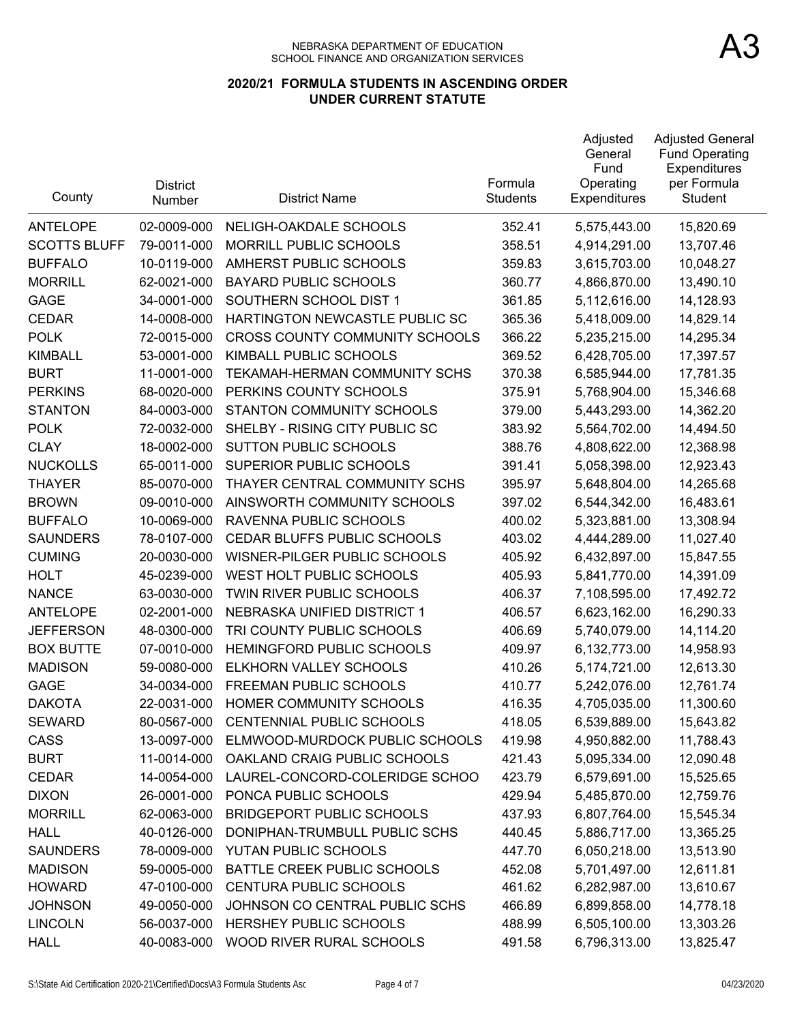| County              | <b>District</b><br>Number | <b>District Name</b>                  | Formula<br><b>Students</b> | Adjusted<br>General<br>Fund<br>Operating<br><b>Expenditures</b> | <b>Adjusted General</b><br><b>Fund Operating</b><br>Expenditures<br>per Formula<br>Student |
|---------------------|---------------------------|---------------------------------------|----------------------------|-----------------------------------------------------------------|--------------------------------------------------------------------------------------------|
| <b>ANTELOPE</b>     | 02-0009-000               | NELIGH-OAKDALE SCHOOLS                | 352.41                     | 5,575,443.00                                                    | 15,820.69                                                                                  |
| <b>SCOTTS BLUFF</b> | 79-0011-000               | MORRILL PUBLIC SCHOOLS                | 358.51                     | 4,914,291.00                                                    | 13,707.46                                                                                  |
| <b>BUFFALO</b>      | 10-0119-000               | AMHERST PUBLIC SCHOOLS                | 359.83                     | 3,615,703.00                                                    | 10,048.27                                                                                  |
| <b>MORRILL</b>      | 62-0021-000               | <b>BAYARD PUBLIC SCHOOLS</b>          | 360.77                     | 4,866,870.00                                                    | 13,490.10                                                                                  |
| <b>GAGE</b>         | 34-0001-000               | SOUTHERN SCHOOL DIST 1                | 361.85                     | 5,112,616.00                                                    | 14,128.93                                                                                  |
| <b>CEDAR</b>        | 14-0008-000               | HARTINGTON NEWCASTLE PUBLIC SC        | 365.36                     | 5,418,009.00                                                    | 14,829.14                                                                                  |
| <b>POLK</b>         | 72-0015-000               | <b>CROSS COUNTY COMMUNITY SCHOOLS</b> | 366.22                     | 5,235,215.00                                                    | 14,295.34                                                                                  |
| <b>KIMBALL</b>      | 53-0001-000               | KIMBALL PUBLIC SCHOOLS                | 369.52                     | 6,428,705.00                                                    | 17,397.57                                                                                  |
| <b>BURT</b>         | 11-0001-000               | TEKAMAH-HERMAN COMMUNITY SCHS         | 370.38                     | 6,585,944.00                                                    | 17,781.35                                                                                  |
| <b>PERKINS</b>      | 68-0020-000               | PERKINS COUNTY SCHOOLS                | 375.91                     | 5,768,904.00                                                    | 15,346.68                                                                                  |
| <b>STANTON</b>      | 84-0003-000               | STANTON COMMUNITY SCHOOLS             | 379.00                     | 5,443,293.00                                                    | 14,362.20                                                                                  |
| <b>POLK</b>         | 72-0032-000               | SHELBY - RISING CITY PUBLIC SC        | 383.92                     | 5,564,702.00                                                    | 14,494.50                                                                                  |
| <b>CLAY</b>         | 18-0002-000               | <b>SUTTON PUBLIC SCHOOLS</b>          | 388.76                     | 4,808,622.00                                                    | 12,368.98                                                                                  |
| <b>NUCKOLLS</b>     | 65-0011-000               | SUPERIOR PUBLIC SCHOOLS               | 391.41                     | 5,058,398.00                                                    | 12,923.43                                                                                  |
| <b>THAYER</b>       | 85-0070-000               | THAYER CENTRAL COMMUNITY SCHS         | 395.97                     | 5,648,804.00                                                    | 14,265.68                                                                                  |
| <b>BROWN</b>        | 09-0010-000               | AINSWORTH COMMUNITY SCHOOLS           | 397.02                     | 6,544,342.00                                                    | 16,483.61                                                                                  |
| <b>BUFFALO</b>      | 10-0069-000               | RAVENNA PUBLIC SCHOOLS                | 400.02                     | 5,323,881.00                                                    | 13,308.94                                                                                  |
| <b>SAUNDERS</b>     | 78-0107-000               | CEDAR BLUFFS PUBLIC SCHOOLS           | 403.02                     | 4,444,289.00                                                    | 11,027.40                                                                                  |
| <b>CUMING</b>       | 20-0030-000               | WISNER-PILGER PUBLIC SCHOOLS          | 405.92                     | 6,432,897.00                                                    | 15,847.55                                                                                  |
| <b>HOLT</b>         | 45-0239-000               | WEST HOLT PUBLIC SCHOOLS              | 405.93                     | 5,841,770.00                                                    | 14,391.09                                                                                  |
| <b>NANCE</b>        | 63-0030-000               | TWIN RIVER PUBLIC SCHOOLS             | 406.37                     | 7,108,595.00                                                    | 17,492.72                                                                                  |
| <b>ANTELOPE</b>     | 02-2001-000               | NEBRASKA UNIFIED DISTRICT 1           | 406.57                     | 6,623,162.00                                                    | 16,290.33                                                                                  |
| <b>JEFFERSON</b>    | 48-0300-000               | TRI COUNTY PUBLIC SCHOOLS             | 406.69                     | 5,740,079.00                                                    | 14,114.20                                                                                  |
| <b>BOX BUTTE</b>    | 07-0010-000               | HEMINGFORD PUBLIC SCHOOLS             | 409.97                     | 6,132,773.00                                                    | 14,958.93                                                                                  |
| <b>MADISON</b>      | 59-0080-000               | ELKHORN VALLEY SCHOOLS                | 410.26                     | 5,174,721.00                                                    | 12,613.30                                                                                  |
| <b>GAGE</b>         | 34-0034-000               | FREEMAN PUBLIC SCHOOLS                | 410.77                     | 5,242,076.00                                                    | 12,761.74                                                                                  |
| <b>DAKOTA</b>       | 22-0031-000               | HOMER COMMUNITY SCHOOLS               | 416.35                     | 4,705,035.00                                                    | 11,300.60                                                                                  |
| <b>SEWARD</b>       | 80-0567-000               | <b>CENTENNIAL PUBLIC SCHOOLS</b>      | 418.05                     | 6,539,889.00                                                    | 15,643.82                                                                                  |
| CASS                | 13-0097-000               | ELMWOOD-MURDOCK PUBLIC SCHOOLS        | 419.98                     | 4,950,882.00                                                    | 11,788.43                                                                                  |
| <b>BURT</b>         | 11-0014-000               | OAKLAND CRAIG PUBLIC SCHOOLS          | 421.43                     | 5,095,334.00                                                    | 12,090.48                                                                                  |
| <b>CEDAR</b>        | 14-0054-000               | LAUREL-CONCORD-COLERIDGE SCHOO        | 423.79                     | 6,579,691.00                                                    | 15,525.65                                                                                  |
| <b>DIXON</b>        | 26-0001-000               | PONCA PUBLIC SCHOOLS                  | 429.94                     | 5,485,870.00                                                    | 12,759.76                                                                                  |
| <b>MORRILL</b>      | 62-0063-000               | <b>BRIDGEPORT PUBLIC SCHOOLS</b>      | 437.93                     | 6,807,764.00                                                    | 15,545.34                                                                                  |
| <b>HALL</b>         | 40-0126-000               | DONIPHAN-TRUMBULL PUBLIC SCHS         | 440.45                     | 5,886,717.00                                                    | 13,365.25                                                                                  |
| <b>SAUNDERS</b>     | 78-0009-000               | YUTAN PUBLIC SCHOOLS                  | 447.70                     | 6,050,218.00                                                    | 13,513.90                                                                                  |
| <b>MADISON</b>      | 59-0005-000               | BATTLE CREEK PUBLIC SCHOOLS           | 452.08                     | 5,701,497.00                                                    | 12,611.81                                                                                  |
| <b>HOWARD</b>       | 47-0100-000               | <b>CENTURA PUBLIC SCHOOLS</b>         | 461.62                     | 6,282,987.00                                                    | 13,610.67                                                                                  |
| <b>JOHNSON</b>      | 49-0050-000               | JOHNSON CO CENTRAL PUBLIC SCHS        | 466.89                     | 6,899,858.00                                                    | 14,778.18                                                                                  |
| <b>LINCOLN</b>      | 56-0037-000               | HERSHEY PUBLIC SCHOOLS                | 488.99                     | 6,505,100.00                                                    | 13,303.26                                                                                  |
| <b>HALL</b>         | 40-0083-000               | WOOD RIVER RURAL SCHOOLS              | 491.58                     | 6,796,313.00                                                    | 13,825.47                                                                                  |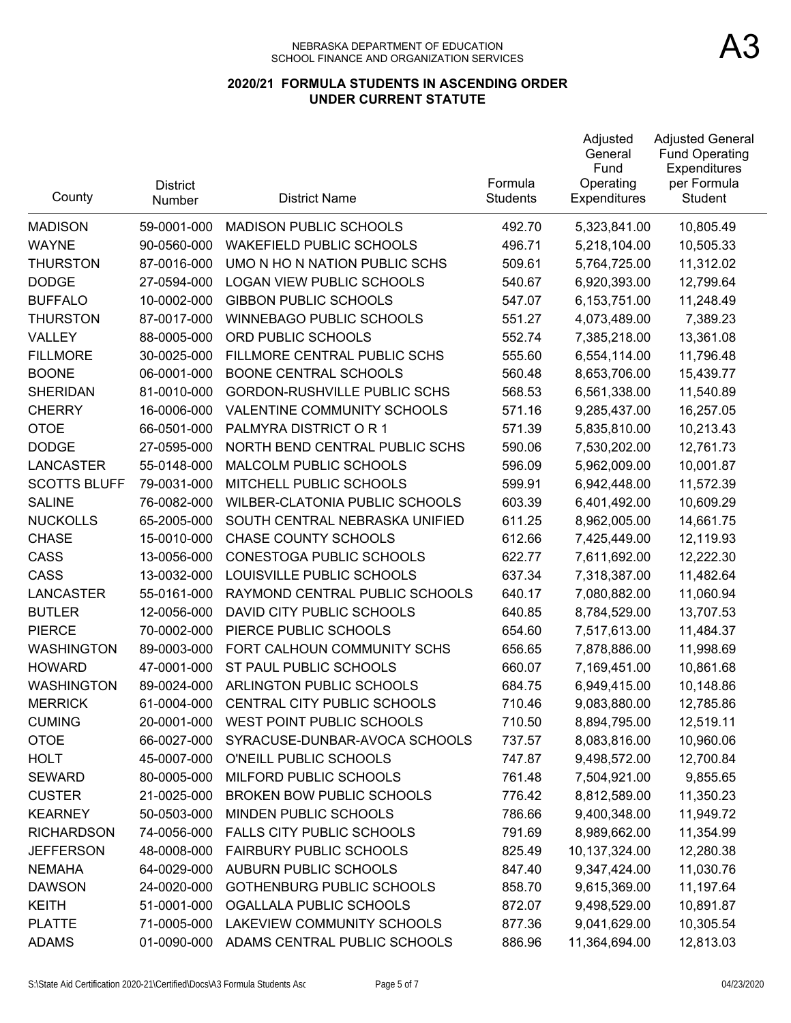| County              | <b>District</b><br>Number | <b>District Name</b>                  | Formula<br><b>Students</b> | Adjusted<br>General<br>Fund<br>Operating<br>Expenditures | <b>Adjusted General</b><br><b>Fund Operating</b><br>Expenditures<br>per Formula<br>Student |
|---------------------|---------------------------|---------------------------------------|----------------------------|----------------------------------------------------------|--------------------------------------------------------------------------------------------|
| <b>MADISON</b>      | 59-0001-000               | <b>MADISON PUBLIC SCHOOLS</b>         | 492.70                     | 5,323,841.00                                             | 10,805.49                                                                                  |
| <b>WAYNE</b>        | 90-0560-000               | <b>WAKEFIELD PUBLIC SCHOOLS</b>       | 496.71                     | 5,218,104.00                                             | 10,505.33                                                                                  |
| <b>THURSTON</b>     | 87-0016-000               | UMO N HO N NATION PUBLIC SCHS         | 509.61                     | 5,764,725.00                                             | 11,312.02                                                                                  |
| <b>DODGE</b>        | 27-0594-000               | <b>LOGAN VIEW PUBLIC SCHOOLS</b>      | 540.67                     | 6,920,393.00                                             | 12,799.64                                                                                  |
| <b>BUFFALO</b>      | 10-0002-000               | <b>GIBBON PUBLIC SCHOOLS</b>          | 547.07                     | 6,153,751.00                                             | 11,248.49                                                                                  |
| <b>THURSTON</b>     | 87-0017-000               | <b>WINNEBAGO PUBLIC SCHOOLS</b>       | 551.27                     | 4,073,489.00                                             | 7,389.23                                                                                   |
| VALLEY              | 88-0005-000               | ORD PUBLIC SCHOOLS                    | 552.74                     | 7,385,218.00                                             | 13,361.08                                                                                  |
| <b>FILLMORE</b>     | 30-0025-000               | FILLMORE CENTRAL PUBLIC SCHS          | 555.60                     | 6,554,114.00                                             | 11,796.48                                                                                  |
| <b>BOONE</b>        | 06-0001-000               | <b>BOONE CENTRAL SCHOOLS</b>          | 560.48                     | 8,653,706.00                                             | 15,439.77                                                                                  |
| <b>SHERIDAN</b>     | 81-0010-000               | GORDON-RUSHVILLE PUBLIC SCHS          | 568.53                     | 6,561,338.00                                             | 11,540.89                                                                                  |
| <b>CHERRY</b>       | 16-0006-000               | VALENTINE COMMUNITY SCHOOLS           | 571.16                     | 9,285,437.00                                             | 16,257.05                                                                                  |
| <b>OTOE</b>         | 66-0501-000               | PALMYRA DISTRICT OR 1                 | 571.39                     | 5,835,810.00                                             | 10,213.43                                                                                  |
| <b>DODGE</b>        | 27-0595-000               | NORTH BEND CENTRAL PUBLIC SCHS        | 590.06                     | 7,530,202.00                                             | 12,761.73                                                                                  |
| <b>LANCASTER</b>    | 55-0148-000               | MALCOLM PUBLIC SCHOOLS                | 596.09                     | 5,962,009.00                                             | 10,001.87                                                                                  |
| <b>SCOTTS BLUFF</b> | 79-0031-000               | MITCHELL PUBLIC SCHOOLS               | 599.91                     | 6,942,448.00                                             | 11,572.39                                                                                  |
| <b>SALINE</b>       | 76-0082-000               | <b>WILBER-CLATONIA PUBLIC SCHOOLS</b> | 603.39                     | 6,401,492.00                                             | 10,609.29                                                                                  |
| <b>NUCKOLLS</b>     | 65-2005-000               | SOUTH CENTRAL NEBRASKA UNIFIED        | 611.25                     | 8,962,005.00                                             | 14,661.75                                                                                  |
| <b>CHASE</b>        | 15-0010-000               | <b>CHASE COUNTY SCHOOLS</b>           | 612.66                     | 7,425,449.00                                             | 12,119.93                                                                                  |
| CASS                | 13-0056-000               | CONESTOGA PUBLIC SCHOOLS              | 622.77                     | 7,611,692.00                                             | 12,222.30                                                                                  |
| CASS                | 13-0032-000               | LOUISVILLE PUBLIC SCHOOLS             | 637.34                     | 7,318,387.00                                             | 11,482.64                                                                                  |
| <b>LANCASTER</b>    | 55-0161-000               | RAYMOND CENTRAL PUBLIC SCHOOLS        | 640.17                     | 7,080,882.00                                             | 11,060.94                                                                                  |
| <b>BUTLER</b>       | 12-0056-000               | DAVID CITY PUBLIC SCHOOLS             | 640.85                     | 8,784,529.00                                             | 13,707.53                                                                                  |
| <b>PIERCE</b>       | 70-0002-000               | PIERCE PUBLIC SCHOOLS                 | 654.60                     | 7,517,613.00                                             | 11,484.37                                                                                  |
| <b>WASHINGTON</b>   | 89-0003-000               | FORT CALHOUN COMMUNITY SCHS           | 656.65                     | 7,878,886.00                                             | 11,998.69                                                                                  |
| <b>HOWARD</b>       | 47-0001-000               | ST PAUL PUBLIC SCHOOLS                | 660.07                     | 7,169,451.00                                             | 10,861.68                                                                                  |
| <b>WASHINGTON</b>   | 89-0024-000               | ARLINGTON PUBLIC SCHOOLS              | 684.75                     | 6,949,415.00                                             | 10,148.86                                                                                  |
| <b>MERRICK</b>      | 61-0004-000               | CENTRAL CITY PUBLIC SCHOOLS           | 710.46                     | 9,083,880.00                                             | 12,785.86                                                                                  |
| <b>CUMING</b>       | 20-0001-000               | WEST POINT PUBLIC SCHOOLS             | 710.50                     | 8,894,795.00                                             | 12,519.11                                                                                  |
| <b>OTOE</b>         | 66-0027-000               | SYRACUSE-DUNBAR-AVOCA SCHOOLS         | 737.57                     | 8,083,816.00                                             | 10,960.06                                                                                  |
| <b>HOLT</b>         | 45-0007-000               | O'NEILL PUBLIC SCHOOLS                | 747.87                     | 9,498,572.00                                             | 12,700.84                                                                                  |
| <b>SEWARD</b>       | 80-0005-000               | MILFORD PUBLIC SCHOOLS                | 761.48                     | 7,504,921.00                                             | 9,855.65                                                                                   |
| <b>CUSTER</b>       | 21-0025-000               | <b>BROKEN BOW PUBLIC SCHOOLS</b>      | 776.42                     | 8,812,589.00                                             | 11,350.23                                                                                  |
| <b>KEARNEY</b>      | 50-0503-000               | MINDEN PUBLIC SCHOOLS                 | 786.66                     | 9,400,348.00                                             | 11,949.72                                                                                  |
| <b>RICHARDSON</b>   | 74-0056-000               | <b>FALLS CITY PUBLIC SCHOOLS</b>      | 791.69                     | 8,989,662.00                                             | 11,354.99                                                                                  |
| <b>JEFFERSON</b>    | 48-0008-000               | <b>FAIRBURY PUBLIC SCHOOLS</b>        | 825.49                     | 10,137,324.00                                            | 12,280.38                                                                                  |
| <b>NEMAHA</b>       | 64-0029-000               | <b>AUBURN PUBLIC SCHOOLS</b>          | 847.40                     | 9,347,424.00                                             | 11,030.76                                                                                  |
| <b>DAWSON</b>       | 24-0020-000               | <b>GOTHENBURG PUBLIC SCHOOLS</b>      | 858.70                     | 9,615,369.00                                             | 11,197.64                                                                                  |
| <b>KEITH</b>        | 51-0001-000               | OGALLALA PUBLIC SCHOOLS               | 872.07                     | 9,498,529.00                                             | 10,891.87                                                                                  |
| <b>PLATTE</b>       | 71-0005-000               | LAKEVIEW COMMUNITY SCHOOLS            | 877.36                     | 9,041,629.00                                             | 10,305.54                                                                                  |
| <b>ADAMS</b>        | 01-0090-000               | ADAMS CENTRAL PUBLIC SCHOOLS          | 886.96                     | 11,364,694.00                                            | 12,813.03                                                                                  |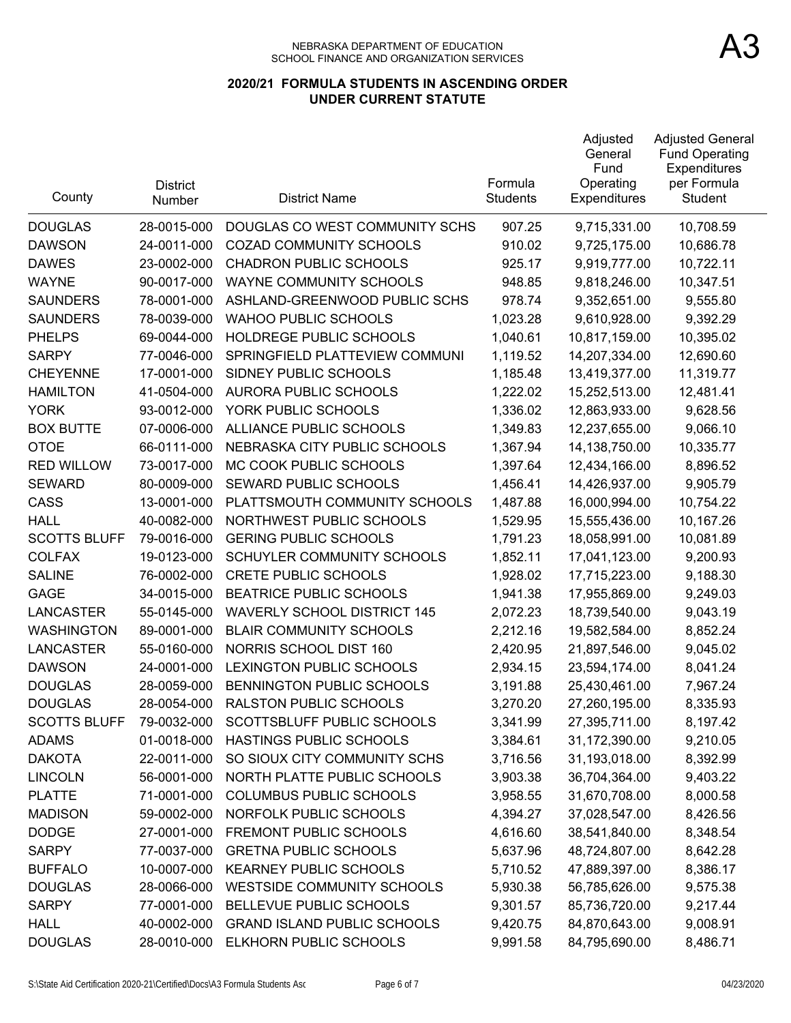| County              | <b>District</b><br>Number | <b>District Name</b>               | Formula<br><b>Students</b> | Adjusted<br>General<br>Fund<br>Operating<br>Expenditures | <b>Adjusted General</b><br><b>Fund Operating</b><br>Expenditures<br>per Formula<br><b>Student</b> |
|---------------------|---------------------------|------------------------------------|----------------------------|----------------------------------------------------------|---------------------------------------------------------------------------------------------------|
| <b>DOUGLAS</b>      | 28-0015-000               | DOUGLAS CO WEST COMMUNITY SCHS     | 907.25                     | 9,715,331.00                                             | 10,708.59                                                                                         |
| <b>DAWSON</b>       | 24-0011-000               | COZAD COMMUNITY SCHOOLS            | 910.02                     | 9,725,175.00                                             | 10,686.78                                                                                         |
| <b>DAWES</b>        | 23-0002-000               | <b>CHADRON PUBLIC SCHOOLS</b>      | 925.17                     | 9,919,777.00                                             | 10,722.11                                                                                         |
| <b>WAYNE</b>        | 90-0017-000               | WAYNE COMMUNITY SCHOOLS            | 948.85                     | 9,818,246.00                                             | 10,347.51                                                                                         |
| <b>SAUNDERS</b>     | 78-0001-000               | ASHLAND-GREENWOOD PUBLIC SCHS      | 978.74                     | 9,352,651.00                                             | 9,555.80                                                                                          |
| <b>SAUNDERS</b>     | 78-0039-000               | <b>WAHOO PUBLIC SCHOOLS</b>        | 1,023.28                   | 9,610,928.00                                             | 9,392.29                                                                                          |
| <b>PHELPS</b>       | 69-0044-000               | HOLDREGE PUBLIC SCHOOLS            | 1,040.61                   | 10,817,159.00                                            | 10,395.02                                                                                         |
| <b>SARPY</b>        | 77-0046-000               | SPRINGFIELD PLATTEVIEW COMMUNI     | 1,119.52                   | 14,207,334.00                                            | 12,690.60                                                                                         |
| <b>CHEYENNE</b>     | 17-0001-000               | SIDNEY PUBLIC SCHOOLS              | 1,185.48                   | 13,419,377.00                                            | 11,319.77                                                                                         |
| <b>HAMILTON</b>     | 41-0504-000               | AURORA PUBLIC SCHOOLS              | 1,222.02                   | 15,252,513.00                                            | 12,481.41                                                                                         |
| <b>YORK</b>         | 93-0012-000               | YORK PUBLIC SCHOOLS                | 1,336.02                   | 12,863,933.00                                            | 9,628.56                                                                                          |
| <b>BOX BUTTE</b>    | 07-0006-000               | ALLIANCE PUBLIC SCHOOLS            | 1,349.83                   | 12,237,655.00                                            | 9,066.10                                                                                          |
| <b>OTOE</b>         | 66-0111-000               | NEBRASKA CITY PUBLIC SCHOOLS       | 1,367.94                   | 14,138,750.00                                            | 10,335.77                                                                                         |
| <b>RED WILLOW</b>   | 73-0017-000               | MC COOK PUBLIC SCHOOLS             | 1,397.64                   | 12,434,166.00                                            | 8,896.52                                                                                          |
| <b>SEWARD</b>       | 80-0009-000               | SEWARD PUBLIC SCHOOLS              | 1,456.41                   | 14,426,937.00                                            | 9,905.79                                                                                          |
| CASS                | 13-0001-000               | PLATTSMOUTH COMMUNITY SCHOOLS      | 1,487.88                   | 16,000,994.00                                            | 10,754.22                                                                                         |
| <b>HALL</b>         | 40-0082-000               | NORTHWEST PUBLIC SCHOOLS           | 1,529.95                   | 15,555,436.00                                            | 10,167.26                                                                                         |
| <b>SCOTTS BLUFF</b> | 79-0016-000               | <b>GERING PUBLIC SCHOOLS</b>       | 1,791.23                   | 18,058,991.00                                            | 10,081.89                                                                                         |
| <b>COLFAX</b>       | 19-0123-000               | SCHUYLER COMMUNITY SCHOOLS         | 1,852.11                   | 17,041,123.00                                            | 9,200.93                                                                                          |
| <b>SALINE</b>       | 76-0002-000               | <b>CRETE PUBLIC SCHOOLS</b>        | 1,928.02                   | 17,715,223.00                                            | 9,188.30                                                                                          |
| <b>GAGE</b>         | 34-0015-000               | <b>BEATRICE PUBLIC SCHOOLS</b>     | 1,941.38                   | 17,955,869.00                                            | 9,249.03                                                                                          |
| LANCASTER           | 55-0145-000               | <b>WAVERLY SCHOOL DISTRICT 145</b> | 2,072.23                   | 18,739,540.00                                            | 9,043.19                                                                                          |
| <b>WASHINGTON</b>   | 89-0001-000               | <b>BLAIR COMMUNITY SCHOOLS</b>     | 2,212.16                   | 19,582,584.00                                            | 8,852.24                                                                                          |
| <b>LANCASTER</b>    | 55-0160-000               | NORRIS SCHOOL DIST 160             | 2,420.95                   | 21,897,546.00                                            | 9,045.02                                                                                          |
| <b>DAWSON</b>       | 24-0001-000               | LEXINGTON PUBLIC SCHOOLS           | 2,934.15                   | 23,594,174.00                                            | 8,041.24                                                                                          |
| <b>DOUGLAS</b>      | 28-0059-000               | BENNINGTON PUBLIC SCHOOLS          | 3,191.88                   | 25,430,461.00                                            | 7,967.24                                                                                          |
| <b>DOUGLAS</b>      | 28-0054-000               | RALSTON PUBLIC SCHOOLS             | 3,270.20                   | 27,260,195.00                                            | 8,335.93                                                                                          |
| <b>SCOTTS BLUFF</b> | 79-0032-000               | SCOTTSBLUFF PUBLIC SCHOOLS         | 3,341.99                   | 27,395,711.00                                            | 8,197.42                                                                                          |
| <b>ADAMS</b>        | 01-0018-000               | HASTINGS PUBLIC SCHOOLS            | 3,384.61                   | 31,172,390.00                                            | 9,210.05                                                                                          |
| <b>DAKOTA</b>       | 22-0011-000               | SO SIOUX CITY COMMUNITY SCHS       | 3,716.56                   | 31,193,018.00                                            | 8,392.99                                                                                          |
| <b>LINCOLN</b>      | 56-0001-000               | NORTH PLATTE PUBLIC SCHOOLS        | 3,903.38                   | 36,704,364.00                                            | 9,403.22                                                                                          |
| <b>PLATTE</b>       | 71-0001-000               | <b>COLUMBUS PUBLIC SCHOOLS</b>     | 3,958.55                   | 31,670,708.00                                            | 8,000.58                                                                                          |
| <b>MADISON</b>      | 59-0002-000               | NORFOLK PUBLIC SCHOOLS             | 4,394.27                   | 37,028,547.00                                            | 8,426.56                                                                                          |
| <b>DODGE</b>        | 27-0001-000               | FREMONT PUBLIC SCHOOLS             | 4,616.60                   | 38,541,840.00                                            | 8,348.54                                                                                          |
| <b>SARPY</b>        | 77-0037-000               | <b>GRETNA PUBLIC SCHOOLS</b>       | 5,637.96                   | 48,724,807.00                                            | 8,642.28                                                                                          |
| <b>BUFFALO</b>      | 10-0007-000               | <b>KEARNEY PUBLIC SCHOOLS</b>      | 5,710.52                   | 47,889,397.00                                            | 8,386.17                                                                                          |
| <b>DOUGLAS</b>      | 28-0066-000               | <b>WESTSIDE COMMUNITY SCHOOLS</b>  | 5,930.38                   | 56,785,626.00                                            | 9,575.38                                                                                          |
| <b>SARPY</b>        | 77-0001-000               | BELLEVUE PUBLIC SCHOOLS            | 9,301.57                   | 85,736,720.00                                            | 9,217.44                                                                                          |
| <b>HALL</b>         | 40-0002-000               | <b>GRAND ISLAND PUBLIC SCHOOLS</b> | 9,420.75                   | 84,870,643.00                                            | 9,008.91                                                                                          |
| <b>DOUGLAS</b>      | 28-0010-000               | ELKHORN PUBLIC SCHOOLS             | 9,991.58                   | 84,795,690.00                                            | 8,486.71                                                                                          |